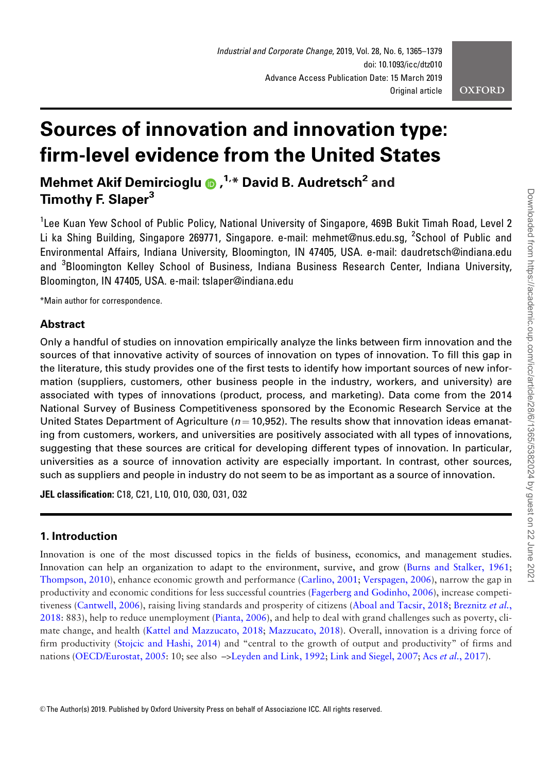## **OXFORD**

# Sources of innovation and innovation type: firm-level evidence from the United States

Mehmet Akif Demircioglu , 1, \* David B. Audretsch2 and Timothy F. Slaper<sup>3</sup>

<sup>1</sup>Lee Kuan Yew School of Public Policy, National University of Singapore, 469B Bukit Timah Road, Level 2 Li ka Shing Building, Singapore 269771, Singapore. e-mail: mehmet@nus.edu.sg, <sup>2</sup>School of Public and Environmental Affairs, Indiana University, Bloomington, IN 47405, USA. e-mail: [daudretsch@indiana.edu](mailto:daudretsch@indiana.edu) and <sup>3</sup>Bloomington Kelley School of Business, Indiana Business Research Center, Indiana University, Bloomington, IN 47405, USA. e-mail: [tslaper@indiana.edu](mailto:tslaper@indiana.edu)

\*Main author for correspondence.

## Abstract

Only a handful of studies on innovation empirically analyze the links between firm innovation and the sources of that innovative activity of sources of innovation on types of innovation. To fill this gap in the literature, this study provides one of the first tests to identify how important sources of new information (suppliers, customers, other business people in the industry, workers, and university) are associated with types of innovations (product, process, and marketing). Data come from the 2014 National Survey of Business Competitiveness sponsored by the Economic Research Service at the United States Department of Agriculture ( $n = 10,952$ ). The results show that innovation ideas emanating from customers, workers, and universities are positively associated with all types of innovations, suggesting that these sources are critical for developing different types of innovation. In particular, universities as a source of innovation activity are especially important. In contrast, other sources, such as suppliers and people in industry do not seem to be as important as a source of innovation.

JEL classification: C18, C21, L10, O10, O30, O31, O32

## 1. Introduction

 firm productivity ([Stoj](#page-12-0)ci[c and Hashi, 2014](#page-12-0)) and "central to the growth of output and productivity" of firms and Innovation is one of the most discussed topics in the fields of business, economics, and management studies. Innovation can help an organization to adapt to the environment, survive, and grow [\(Burns and Stalker, 1961;](#page-11-0) [Thompson, 2010](#page-12-0)), enhance economic growth and performance ([Carlino, 2001](#page-11-0); [Verspagen, 2006](#page-12-0)), narrow the gap in productivity and economic conditions for less successful countries [\(Fagerberg and Godinho, 2006](#page-11-0)), increase competi-tiveness ([Cantwell, 2006](#page-11-0)), raising living standards and prosperity of citizens [\(Aboal and Tacsir, 2018;](#page-10-0) [Breznitz](#page-10-0) et al., [2018:](#page-10-0) 883), help to reduce unemployment [\(Pianta, 2006\)](#page-12-0), and help to deal with grand challenges such as poverty, climate change, and health ([Kattel and Mazzucato, 2018;](#page-11-0) [Mazzucato, 2018](#page-11-0)). Overall, innovation is a driving force of nations ([OECD/Eurostat, 2005:](#page-12-0) 10; see also –[>Leyden and Link, 1992; Link and Siegel, 2007](#page-11-0); Acs et al.[, 2017](#page-10-0)).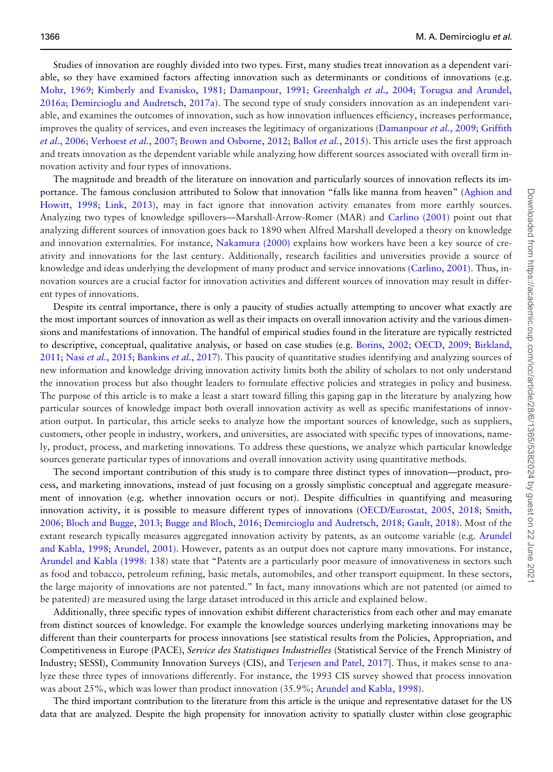Studies of innovation are roughly divided into two types. First, many studies treat innovation as a dependent variable, so they have examined factors affecting innovation such as determinants or conditions of innovations (e.g. [Mohr, 1969](#page-11-0); [Kimberly and Evanisko, 1981](#page-11-0); [Damanpour, 1991;](#page-11-0) [Greenhalgh](#page-11-0) et al., 2004; [Torugsa and Arundel,](#page-12-0) [2016a](#page-12-0); [Demircioglu and Audretsch, 2017a\)](#page-11-0). The second type of study considers innovation as an independent variable, and examines the outcomes of innovation, such as how innovation influences efficiency, increases performance, improves the quality of services, and even increases the legitimacy of organizations [\(Damanpour](#page-11-0) et al., 2009; [Griffith](#page-11-0) et al.[, 2006](#page-11-0); [Verhoest](#page-12-0) et al., 2007; [Brown and Osborne, 2012;](#page-11-0) [Ballot](#page-10-0) et al., 2015). This article uses the first approach and treats innovation as the dependent variable while analyzing how different sources associated with overall firm innovation activity and four types of innovations.

The magnitude and breadth of the literature on innovation and particularly sources of innovation reflects its importance. The famous conclusion attributed to Solow that innovation "falls like manna from heaven" ([Aghion and](#page-10-0) [Howitt, 1998](#page-10-0); [Link, 2013\)](#page-11-0), may in fact ignore that innovation activity emanates from more earthly sources. Analyzing two types of knowledge spillovers—Marshall-Arrow-Romer (MAR) and [Carlino \(2001\)](#page-11-0) point out that analyzing different sources of innovation goes back to 1890 when Alfred Marshall developed a theory on knowledge and innovation externalities. For instance, [Nakamura \(2000\)](#page-11-0) explains how workers have been a key source of creativity and innovations for the last century. Additionally, research facilities and universities provide a source of knowledge and ideas underlying the development of many product and service innovations ([Carlino, 2001](#page-11-0)). Thus, innovation sources are a crucial factor for innovation activities and different sources of innovation may result in different types of innovations.

Despite its central importance, there is only a paucity of studies actually attempting to uncover what exactly are the most important sources of innovation as well as their impacts on overall innovation activity and the various dimensions and manifestations of innovation. The handful of empirical studies found in the literature are typically restricted to descriptive, conceptual, qualitative analysis, or based on case studies (e.g. [Borins, 2002;](#page-10-0) [OECD, 2009](#page-12-0); [Birkland,](#page-10-0) [2011;](#page-10-0) Nasi et al.[, 2015](#page-12-0); [Bankins](#page-10-0) et al., 2017). This paucity of quantitative studies identifying and analyzing sources of new information and knowledge driving innovation activity limits both the ability of scholars to not only understand the innovation process but also thought leaders to formulate effective policies and strategies in policy and business. The purpose of this article is to make a least a start toward filling this gaping gap in the literature by analyzing how particular sources of knowledge impact both overall innovation activity as well as specific manifestations of innovation output. In particular, this article seeks to analyze how the important sources of knowledge, such as suppliers, customers, other people in industry, workers, and universities, are associated with specific types of innovations, namely, product, process, and marketing innovations. To address these questions, we analyze which particular knowledge sources generate particular types of innovations and overall innovation activity using quantitative methods.

The second important contribution of this study is to compare three distinct types of innovation—product, process, and marketing innovations, instead of just focusing on a grossly simplistic conceptual and aggregate measurement of innovation (e.g. whether innovation occurs or not). Despite difficulties in quantifying and measuring innovation activity, it is possible to measure different types of innovations ([OECD/Eurostat, 2005](#page-12-0), [2018;](#page-12-0) [Smith,](#page-12-0) [2006;](#page-12-0) [Bloch and Bugge, 2013](#page-10-0); [Bugge and Bloch, 2016;](#page-11-0) [Demircioglu and Audretsch, 2018;](#page-11-0) [Gault, 2018\)](#page-11-0). Most of the extant research typically measures aggregated innovation activity by patents, as an outcome variable (e.g. [Arundel](#page-10-0) [and Kabla, 1998;](#page-10-0) [Arundel, 2001](#page-10-0)). However, patents as an output does not capture many innovations. For instance, [Arundel and Kabla \(1998](#page-10-0): 138) state that "Patents are a particularly poor measure of innovativeness in sectors such as food and tobacco, petroleum refining, basic metals, automobiles, and other transport equipment. In these sectors, the large majority of innovations are not patented." In fact, many innovations which are not patented (or aimed to be patented) are measured using the large dataset introduced in this article and explained below.

Additionally, three specific types of innovation exhibit different characteristics from each other and may emanate from distinct sources of knowledge. For example the knowledge sources underlying marketing innovations may be different than their counterparts for process innovations [see statistical results from the Policies, Appropriation, and Competitiveness in Europe (PACE), Service des Statistiques Industrielles (Statistical Service of the French Ministry of Industry; SESSI), Community Innovation Surveys (CIS), and [Terjesen and Patel, 2017](#page-12-0)]. Thus, it makes sense to analyze these three types of innovations differently. For instance, the 1993 CIS survey showed that process innovation was about 25%, which was lower than product innovation (35.9%; [Arundel and Kabla, 1998\)](#page-10-0).

The third important contribution to the literature from this article is the unique and representative dataset for the US data that are analyzed. Despite the high propensity for innovation activity to spatially cluster within close geographic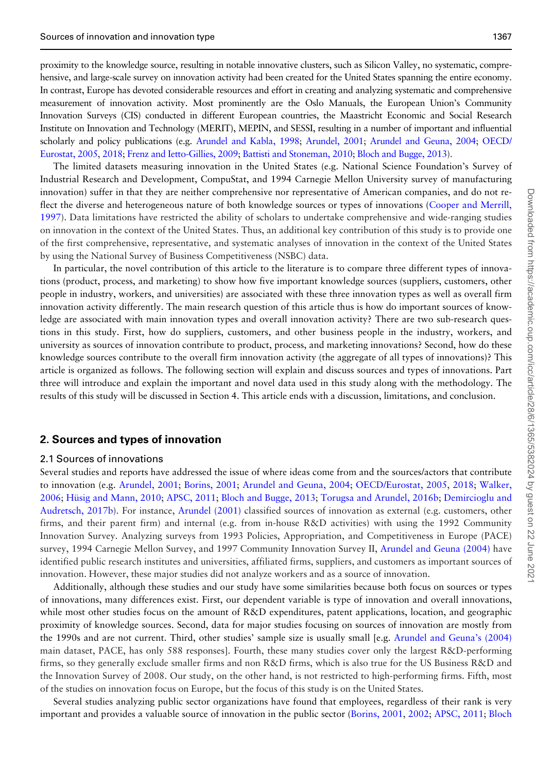proximity to the knowledge source, resulting in notable innovative clusters, such as Silicon Valley, no systematic, comprehensive, and large-scale survey on innovation activity had been created for the United States spanning the entire economy. In contrast, Europe has devoted considerable resources and effort in creating and analyzing systematic and comprehensive measurement of innovation activity. Most prominently are the Oslo Manuals, the European Union's Community Innovation Surveys (CIS) conducted in different European countries, the Maastricht Economic and Social Research Institute on Innovation and Technology (MERIT), MEPIN, and SESSI, resulting in a number of important and influential scholarly and policy publications (e.g. [Arundel and Kabla, 1998](#page-10-0); [Arundel, 2001](#page-10-0); [Arundel and Geuna, 2004;](#page-10-0) [OECD/](#page-12-0)  [Eurostat, 2005](#page-12-0), [2018;](#page-12-0) [Frenz and Ietto-Gillies, 2009;](#page-11-0) [Battisti and Stoneman, 2010](#page-10-0); [Bloch and Bugge, 2013\)](#page-10-0).

The limited datasets measuring innovation in the United States (e.g. National Science Foundation's Survey of Industrial Research and Development, CompuStat, and 1994 Carnegie Mellon University survey of manufacturing innovation) suffer in that they are neither comprehensive nor representative of American companies, and do not reflect the diverse and heterogeneous nature of both knowledge sources or types of innovations [\(Cooper and Merrill,](#page-11-0) [1997\)](#page-11-0). Data limitations have restricted the ability of scholars to undertake comprehensive and wide-ranging studies on innovation in the context of the United States. Thus, an additional key contribution of this study is to provide one of the first comprehensive, representative, and systematic analyses of innovation in the context of the United States by using the National Survey of Business Competitiveness (NSBC) data.

In particular, the novel contribution of this article to the literature is to compare three different types of innovations (product, process, and marketing) to show how five important knowledge sources (suppliers, customers, other people in industry, workers, and universities) are associated with these three innovation types as well as overall firm innovation activity differently. The main research question of this article thus is how do important sources of knowledge are associated with main innovation types and overall innovation activity? There are two sub-research questions in this study. First, how do suppliers, customers, and other business people in the industry, workers, and university as sources of innovation contribute to product, process, and marketing innovations? Second, how do these knowledge sources contribute to the overall firm innovation activity (the aggregate of all types of innovations)? This article is organized as follows. The following section will explain and discuss sources and types of innovations. Part three will introduce and explain the important and novel data used in this study along with the methodology. The results of this study will be discussed in Section 4. This article ends with a discussion, limitations, and conclusion.

## 2. Sources and types of innovation

#### 2.1 Sources of innovations

Several studies and reports have addressed the issue of where ideas come from and the sources/actors that contribute to innovation (e.g. [Arundel, 2001](#page-10-0); [Borins, 2001;](#page-10-0) [Arundel and Geuna, 2004](#page-10-0); [OECD/Eurostat, 2005,](#page-12-0) [2018;](#page-12-0) [Walker,](#page-12-0) [2006](#page-12-0); Hüsig and Mann, 2010; [APSC, 2011](#page-10-0); [Bloch and Bugge, 2013;](#page-10-0) [Torugsa and Arundel, 2016b](#page-12-0); [Demircioglu and](#page-11-0) [Audretsch, 2017b](#page-11-0)). For instance, [Arundel \(2001\)](#page-10-0) classified sources of innovation as external (e.g. customers, other firms, and their parent firm) and internal (e.g. from in-house R&D activities) with using the 1992 Community Innovation Survey. Analyzing surveys from 1993 Policies, Appropriation, and Competitiveness in Europe (PACE) survey, 1994 Carnegie Mellon Survey, and 1997 Community Innovation Survey II, [Arundel and Geuna \(2004\)](#page-10-0) have identified public research institutes and universities, affiliated firms, suppliers, and customers as important sources of innovation. However, these major studies did not analyze workers and as a source of innovation.

Additionally, although these studies and our study have some similarities because both focus on sources or types of innovations, many differences exist. First, our dependent variable is type of innovation and overall innovations, while most other studies focus on the amount of R&D expenditures, patent applications, location, and geographic proximity of knowledge sources. Second, data for major studies focusing on sources of innovation are mostly from the 1990s and are not current. Third, other studies' sample size is usually small [e.g. [Arundel and Geuna's \(2004\)](#page-10-0) main dataset, PACE, has only 588 responses]. Fourth, these many studies cover only the largest R&D-performing firms, so they generally exclude smaller firms and non R&D firms, which is also true for the US Business R&D and the Innovation Survey of 2008. Our study, on the other hand, is not restricted to high-performing firms. Fifth, most of the studies on innovation focus on Europe, but the focus of this study is on the United States.

Several studies analyzing public sector organizations have found that employees, regardless of their rank is very important and provides a valuable source of innovation in the public sector ([Borins, 2001,](#page-10-0) [2002](#page-10-0); [APSC, 2011; Bloch](#page-10-0)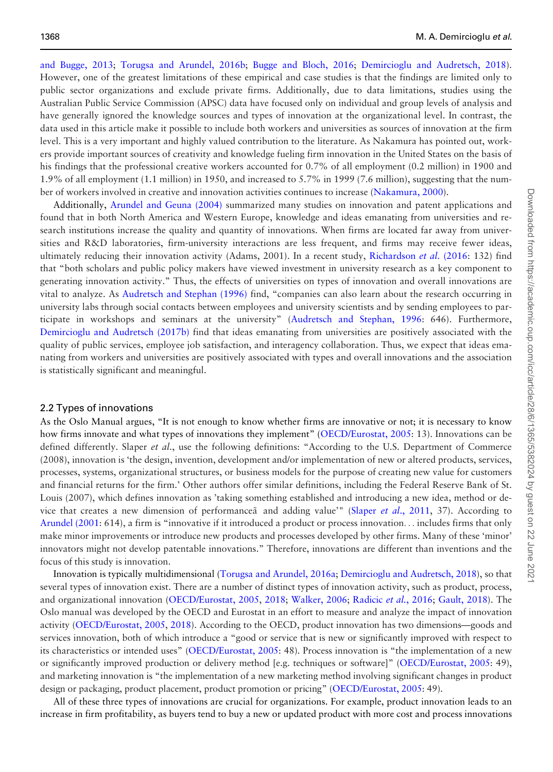[and Bugge, 2013](#page-10-0); [Torugsa and Arundel, 2016b](#page-12-0); [Bugge and Bloch, 2016](#page-11-0); [Demircioglu and Audretsch, 2018](#page-11-0)). However, one of the greatest limitations of these empirical and case studies is that the findings are limited only to public sector organizations and exclude private firms. Additionally, due to data limitations, studies using the Australian Public Service Commission (APSC) data have focused only on individual and group levels of analysis and have generally ignored the knowledge sources and types of innovation at the organizational level. In contrast, the data used in this article make it possible to include both workers and universities as sources of innovation at the firm level. This is a very important and highly valued contribution to the literature. As Nakamura has pointed out, workers provide important sources of creativity and knowledge fueling firm innovation in the United States on the basis of his findings that the professional creative workers accounted for 0.7% of all employment (0.2 million) in 1900 and 1.9% of all employment (1.1 million) in 1950, and increased to 5.7% in 1999 (7.6 million), suggesting that the number of workers involved in creative and innovation activities continues to increase [\(Nakamura, 2000](#page-11-0)).

Additionally, [Arundel and Geuna \(2004\)](#page-10-0) summarized many studies on innovation and patent applications and found that in both North America and Western Europe, knowledge and ideas emanating from universities and research institutions increase the quality and quantity of innovations. When firms are located far away from universities and R&D laboratories, firm-university interactions are less frequent, and firms may receive fewer ideas, ultimately reducing their innovation activity (Adams, 2001). In a recent study, [Richardson](#page-12-0) et al. (2016: 132) find that "both scholars and public policy makers have viewed investment in university research as a key component to generating innovation activity." Thus, the effects of universities on types of innovation and overall innovations are vital to analyze. As [Audretsch and Stephan \(1996\)](#page-10-0) find, "companies can also learn about the research occurring in university labs through social contacts between employees and university scientists and by sending employees to participate in workshops and seminars at the university" ([Audretsch and Stephan, 1996:](#page-10-0) 646). Furthermore, [Demircioglu and Audretsch \(2017b\)](#page-11-0) find that ideas emanating from universities are positively associated with the quality of public services, employee job satisfaction, and interagency collaboration. Thus, we expect that ideas emanating from workers and universities are positively associated with types and overall innovations and the association is statistically significant and meaningful.

#### 2.2 Types of innovations

As the Oslo Manual argues, "It is not enough to know whether firms are innovative or not; it is necessary to know how firms innovate and what types of innovations they implement" [\(OECD/Eurostat, 2005](#page-12-0): 13). Innovations can be defined differently. Slaper et al., use the following definitions: "According to the U.S. Department of Commerce (2008), innovation is 'the design, invention, development and/or implementation of new or altered products, services, processes, systems, organizational structures, or business models for the purpose of creating new value for customers and financial returns for the firm.' Other authors offer similar definitions, including the Federal Reserve Bank of St. Louis (2007), which defines innovation as 'taking something established and introducing a new idea, method or de-vice that creates a new dimension of performancea and adding value'" (Slaper et al[., 2011](#page-12-0), 37). According to [Arundel \(2001:](#page-10-0) 614), a firm is "innovative if it introduced a product or process innovation... includes firms that only make minor improvements or introduce new products and processes developed by other firms. Many of these 'minor' innovators might not develop patentable innovations." Therefore, innovations are different than inventions and the focus of this study is innovation.

Innovation is typically multidimensional ([Torugsa and Arundel, 2016a](#page-12-0); [Demircioglu and Audretsch, 2018](#page-11-0)), so that several types of innovation exist. There are a number of distinct types of innovation activity, such as product, process, and organizational innovation [\(OECD/Eurostat, 2005,](#page-12-0) [2018;](#page-12-0) [Walker, 2006](#page-12-0); [Radicic](#page-12-0) et al., 2016; [Gault, 2018](#page-11-0)). The Oslo manual was developed by the OECD and Eurostat in an effort to measure and analyze the impact of innovation activity [\(OECD/Eurostat, 2005](#page-12-0), [2018\)](#page-12-0). According to the OECD, product innovation has two dimensions—goods and services innovation, both of which introduce a "good or service that is new or significantly improved with respect to its characteristics or intended uses" [\(OECD/Eurostat, 2005](#page-12-0): 48). Process innovation is "the implementation of a new or significantly improved production or delivery method [e.g. techniques or software]" ([OECD/Eurostat, 2005:](#page-12-0) 49), and marketing innovation is "the implementation of a new marketing method involving significant changes in product design or packaging, product placement, product promotion or pricing" [\(OECD/Eurostat, 2005](#page-12-0): 49).

All of these three types of innovations are crucial for organizations. For example, product innovation leads to an increase in firm profitability, as buyers tend to buy a new or updated product with more cost and process innovations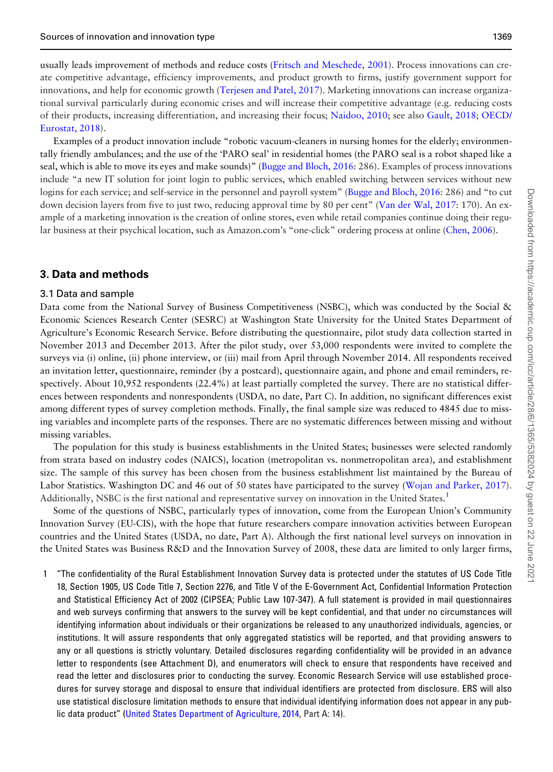usually leads improvement of methods and reduce costs ([Fritsch and Meschede, 2001\)](#page-11-0). Process innovations can create competitive advantage, efficiency improvements, and product growth to firms, justify government support for innovations, and help for economic growth [\(Terjesen and Patel, 2017](#page-12-0)). Marketing innovations can increase organizational survival particularly during economic crises and will increase their competitive advantage (e.g. reducing costs of their products, increasing differentiation, and increasing their focus; [Naidoo, 2010;](#page-11-0) see also [Gault, 2018;](#page-11-0) [OECD/](#page-12-0) [Eurostat, 2018\)](#page-12-0).

Examples of a product innovation include "robotic vacuum-cleaners in nursing homes for the elderly; environmentally friendly ambulances; and the use of the 'PARO seal' in residential homes (the PARO seal is a robot shaped like a seal, which is able to move its eyes and make sounds)" [\(Bugge and Bloch, 2016](#page-11-0): 286). Examples of process innovations include "a new IT solution for joint login to public services, which enabled switching between services without new logins for each service; and self-service in the personnel and payroll system" [\(Bugge and Bloch, 2016:](#page-11-0) 286) and "to cut down decision layers from five to just two, reducing approval time by 80 per cent" [\(Van der Wal, 2017:](#page-12-0) 170). An example of a marketing innovation is the creation of online stores, even while retail companies continue doing their regular business at their psychical location, such as Amazon.com's "one-click" ordering process at online ([Chen, 2006\)](#page-11-0).

## 3. Data and methods

### 3.1 Data and sample

Data come from the National Survey of Business Competitiveness (NSBC), which was conducted by the Social & Economic Sciences Research Center (SESRC) at Washington State University for the United States Department of Agriculture's Economic Research Service. Before distributing the questionnaire, pilot study data collection started in November 2013 and December 2013. After the pilot study, over 53,000 respondents were invited to complete the surveys via (i) online, (ii) phone interview, or (iii) mail from April through November 2014. All respondents received an invitation letter, questionnaire, reminder (by a postcard), questionnaire again, and phone and email reminders, respectively. About 10,952 respondents (22.4%) at least partially completed the survey. There are no statistical differences between respondents and nonrespondents (USDA, no date, Part C). In addition, no significant differences exist among different types of survey completion methods. Finally, the final sample size was reduced to 4845 due to missing variables and incomplete parts of the responses. There are no systematic differences between missing and without missing variables.

The population for this study is business establishments in the United States; businesses were selected randomly from strata based on industry codes (NAICS), location (metropolitan vs. nonmetropolitan area), and establishment size. The sample of this survey has been chosen from the business establishment list maintained by the Bureau of Labor Statistics. Washington DC and 46 out of 50 states have participated to the survey [\(Wojan and Parker, 2017\)](#page-12-0). Additionally, NSBC is the first national and representative survey on innovation in the United States.<sup>1</sup>

Some of the questions of NSBC, particularly types of innovation, come from the European Union's Community Innovation Survey (EU-CIS), with the hope that future researchers compare innovation activities between European countries and the United States (USDA, no date, Part A). Although the first national level surveys on innovation in the United States was Business R&D and the Innovation Survey of 2008, these data are limited to only larger firms,

1 "The confidentiality of the Rural Establishment Innovation Survey data is protected under the statutes of US Code Title 18, Section 1905, US Code Title 7, Section 2276, and Title V of the E-Government Act, Confidential Information Protection and Statistical Efficiency Act of 2002 (CIPSEA; Public Law 107-347). A full statement is provided in mail questionnaires and web surveys confirming that answers to the survey will be kept confidential, and that under no circumstances will identifying information about individuals or their organizations be released to any unauthorized individuals, agencies, or institutions. It will assure respondents that only aggregated statistics will be reported, and that providing answers to any or all questions is strictly voluntary. Detailed disclosures regarding confidentiality will be provided in an advance letter to respondents (see Attachment D), and enumerators will check to ensure that respondents have received and read the letter and disclosures prior to conducting the survey. Economic Research Service will use established procedures for survey storage and disposal to ensure that individual identifiers are protected from disclosure. ERS will also use statistical disclosure limitation methods to ensure that individual identifying information does not appear in any public data product" (United States [Department](#page-12-0) of Agriculture, 2014, Part A: 14).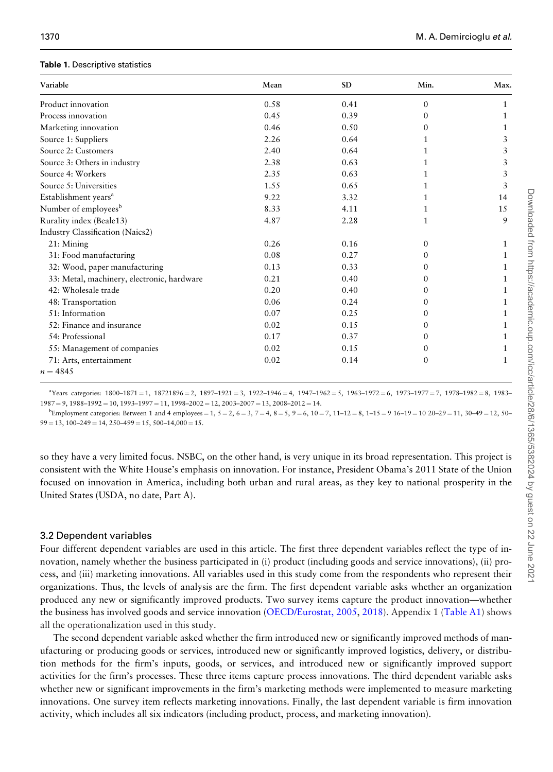#### <span id="page-5-0"></span>Table 1. Descriptive statistics

| Variable                                   | Mean | <b>SD</b> | Min.         | Max. |
|--------------------------------------------|------|-----------|--------------|------|
| Product innovation                         | 0.58 | 0.41      | $\Omega$     | 1    |
| Process innovation                         | 0.45 | 0.39      | 0            | 1    |
| Marketing innovation                       | 0.46 | 0.50      | 0            | 1.   |
| Source 1: Suppliers                        | 2.26 | 0.64      | 1            | 3    |
| Source 2: Customers                        | 2.40 | 0.64      | 1            | 3    |
| Source 3: Others in industry               | 2.38 | 0.63      | 1            | 3    |
| Source 4: Workers                          | 2.35 | 0.63      | 1            | 3    |
| Source 5: Universities                     | 1.55 | 0.65      | 1            | 3    |
| Establishment years <sup>a</sup>           | 9.22 | 3.32      | 1            | 14   |
| Number of employees <sup>b</sup>           | 8.33 | 4.11      | 1            | 15   |
| Rurality index (Beale13)                   | 4.87 | 2.28      | 1            | 9    |
| Industry Classification (Naics2)           |      |           |              |      |
| 21: Mining                                 | 0.26 | 0.16      | 0            | 1    |
| 31: Food manufacturing                     | 0.08 | 0.27      | 0            | 1.   |
| 32: Wood, paper manufacturing              | 0.13 | 0.33      | 0            | 1    |
| 33: Metal, machinery, electronic, hardware | 0.21 | 0.40      | 0            | 1    |
| 42: Wholesale trade                        | 0.20 | 0.40      | 0            |      |
| 48: Transportation                         | 0.06 | 0.24      | 0            | 1    |
| 51: Information                            | 0.07 | 0.25      | 0            | 1    |
| 52: Finance and insurance                  | 0.02 | 0.15      | 0            | 1    |
| 54: Professional                           | 0.17 | 0.37      | 0            | 1    |
| 55: Management of companies                | 0.02 | 0.15      | 0            | 1.   |
| 71: Arts, entertainment                    | 0.02 | 0.14      | $\mathbf{0}$ | 1    |
| $n = 4845$                                 |      |           |              |      |

"Years categories: 1800-1871 = 1, 18721896 = 2, 1897-1921 = 3, 1922-1946 = 4, 1947-1962 = 5, 1963-1972 = 6, 1973-1977 = 7, 1978-1982 = 8, 1983- $1987 = 9, 1988 - 1992 = 10, 1993 - 1997 = 11, 1998 - 2002 = 12, 2003 - 2007 = 13, 2008 - 2012 = 14.$ 

 $b$ Employment categories: Between 1 and 4 employees = 1, 5 = 2, 6 = 3, 7 = 4, 8 = 5, 9 = 6, 10 = 7, 11-12 = 8, 1-15 = 9 16-19 = 10 20-29 = 11, 30-49 = 12, 50- $99 = 13$ ,  $100 - 249 = 14$ ,  $250 - 499 = 15$ ,  $500 - 14$ ,  $000 = 15$ .

so they have a very limited focus. NSBC, on the other hand, is very unique in its broad representation. This project is consistent with the White House's emphasis on innovation. For instance, President Obama's 2011 State of the Union focused on innovation in America, including both urban and rural areas, as they key to national prosperity in the United States (USDA, no date, Part A).

#### 3.2 Dependent variables

Four different dependent variables are used in this article. The first three dependent variables reflect the type of innovation, namely whether the business participated in (i) product (including goods and service innovations), (ii) process, and (iii) marketing innovations. All variables used in this study come from the respondents who represent their organizations. Thus, the levels of analysis are the firm. The first dependent variable asks whether an organization produced any new or significantly improved products. Two survey items capture the product innovation—whether the business has involved goods and service innovation ([OECD/Eurostat, 2005](#page-12-0), [2018\)](#page-12-0). Appendix 1 (Table A1) shows all the operationalization used in this study.

The second dependent variable asked whether the firm introduced new or significantly improved methods of manufacturing or producing goods or services, introduced new or significantly improved logistics, delivery, or distribution methods for the firm's inputs, goods, or services, and introduced new or significantly improved support activities for the firm's processes. These three items capture process innovations. The third dependent variable asks whether new or significant improvements in the firm's marketing methods were implemented to measure marketing innovations. One survey item reflects marketing innovations. Finally, the last dependent variable is firm innovation activity, which includes all six indicators (including product, process, and marketing innovation).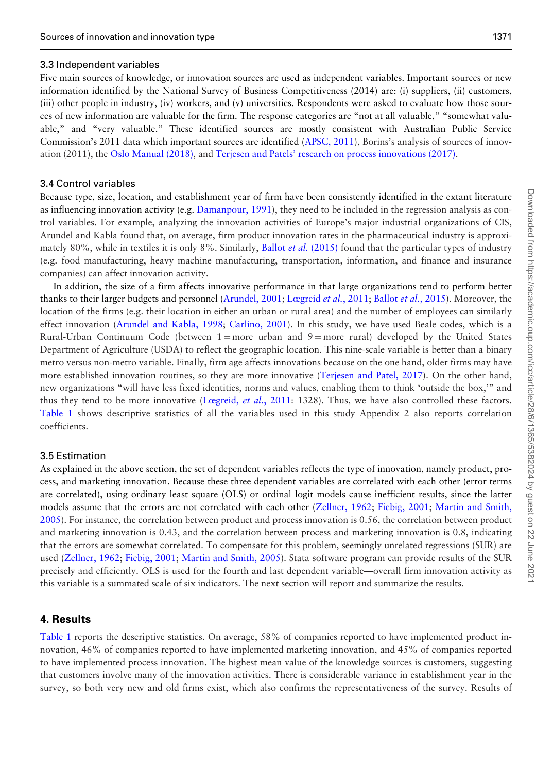#### 3.3 Independent variables

Five main sources of knowledge, or innovation sources are used as independent variables. Important sources or new information identified by the National Survey of Business Competitiveness (2014) are: (i) suppliers, (ii) customers, (iii) other people in industry, (iv) workers, and (v) universities. Respondents were asked to evaluate how those sources of new information are valuable for the firm. The response categories are "not at all valuable," "somewhat valuable," and "very valuable." These identified sources are mostly consistent with Australian Public Service Commission's 2011 data which important sources are identified [\(APSC, 2011\)](#page-10-0), Borins's analysis of sources of innovation (2011), the [Oslo Manual \(2018\)](#page-12-0), and [Terjesen and Patels' research on process innovations \(2017\)](#page-12-0).

#### 3.4 Control variables

Because type, size, location, and establishment year of firm have been consistently identified in the extant literature as influencing innovation activity (e.g. [Damanpour, 1991](#page-11-0)), they need to be included in the regression analysis as control variables. For example, analyzing the innovation activities of Europe's major industrial organizations of CIS, Arundel and Kabla found that, on average, firm product innovation rates in the pharmaceutical industry is approxi-mately 80%, while in textiles it is only 8%. Similarly, [Ballot](#page-10-0) et al. (2015) found that the particular types of industry (e.g. food manufacturing, heavy machine manufacturing, transportation, information, and finance and insurance companies) can affect innovation activity.

In addition, the size of a firm affects innovative performance in that large organizations tend to perform better thanks to their larger budgets and personnel ([Arundel, 2001;](#page-10-0) [L](#page-11-0)œgreid et al.[, 2011;](#page-11-0) [Ballot](#page-10-0) et al., 2015). Moreover, the location of the firms (e.g. their location in either an urban or rural area) and the number of employees can similarly effect innovation [\(Arundel and Kabla, 1998](#page-10-0); [Carlino, 2001](#page-11-0)). In this study, we have used Beale codes, which is a Rural-Urban Continuum Code (between  $1 =$  more urban and  $9 =$  more rural) developed by the United States Department of Agriculture (USDA) to reflect the geographic location. This nine-scale variable is better than a binary metro versus non-metro variable. Finally, firm age affects innovations because on the one hand, older firms may have more established innovation routines, so they are more innovative [\(Terjesen and Patel, 2017\)](#page-12-0). On the other hand, new organizations "will have less fixed identities, norms and values, enabling them to think 'outside the box,'" and thus they tend to be more innovative [\(L](#page-11-0)œgreid, et al.[, 2011:](#page-11-0) 1328). Thus, we have also controlled these factors. [Table 1](#page-5-0) shows descriptive statistics of all the variables used in this study Appendix 2 also reports correlation coefficients.

#### 3.5 Estimation

As explained in the above section, the set of dependent variables reflects the type of innovation, namely product, process, and marketing innovation. Because these three dependent variables are correlated with each other (error terms are correlated), using ordinary least square (OLS) or ordinal logit models cause inefficient results, since the latter models assume that the errors are not correlated with each other ([Zellner, 1962;](#page-12-0) [Fiebig, 2001](#page-11-0); [Martin and Smith,](#page-11-0) [2005\)](#page-11-0). For instance, the correlation between product and process innovation is 0.56, the correlation between product and marketing innovation is 0.43, and the correlation between process and marketing innovation is 0.8, indicating that the errors are somewhat correlated. To compensate for this problem, seemingly unrelated regressions (SUR) are used [\(Zellner, 1962](#page-12-0); [Fiebig, 2001;](#page-11-0) [Martin and Smith, 2005](#page-11-0)). Stata software program can provide results of the SUR precisely and efficiently. OLS is used for the fourth and last dependent variable—overall firm innovation activity as this variable is a summated scale of six indicators. The next section will report and summarize the results.

## 4. Results

[Table 1](#page-5-0) reports the descriptive statistics. On average, 58% of companies reported to have implemented product innovation, 46% of companies reported to have implemented marketing innovation, and 45% of companies reported to have implemented process innovation. The highest mean value of the knowledge sources is customers, suggesting that customers involve many of the innovation activities. There is considerable variance in establishment year in the survey, so both very new and old firms exist, which also confirms the representativeness of the survey. Results of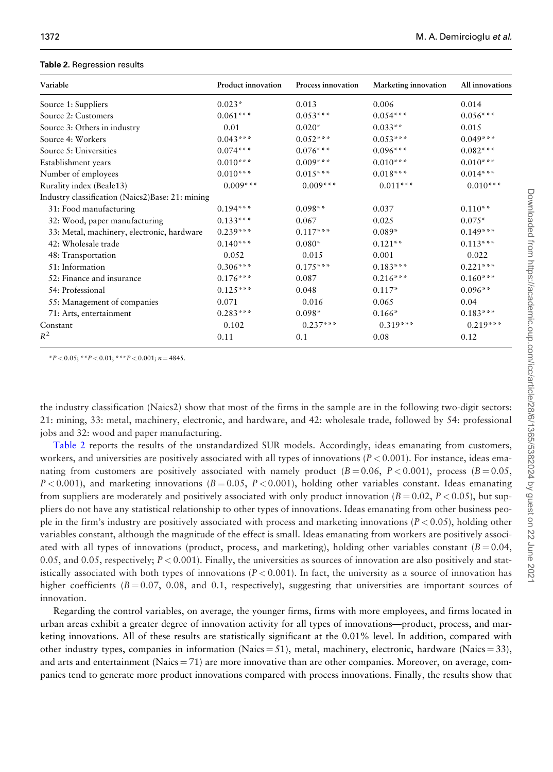#### Table 2. Regression results

| Variable                                         | Product innovation | Process innovation | Marketing innovation | All innovations<br>0.014 |  |
|--------------------------------------------------|--------------------|--------------------|----------------------|--------------------------|--|
| Source 1: Suppliers                              | $0.023*$           | 0.013              | 0.006                |                          |  |
| Source 2: Customers                              | $0.061***$         | $0.053***$         | $0.054***$           | $0.056***$               |  |
| Source 3: Others in industry                     | 0.01               | $0.020*$           | $0.033**$            | 0.015                    |  |
| Source 4: Workers                                | $0.043***$         | $0.052***$         | $0.053***$           | $0.049***$               |  |
| Source 5: Universities                           | $0.074***$         | $0.076***$         | $0.096***$           | $0.082***$               |  |
| Establishment years                              | $0.010***$         | $0.009***$         | $0.010***$           | $0.010***$               |  |
| Number of employees                              | $0.010***$         | $0.015***$         | $0.018***$           | $0.014***$               |  |
| Rurality index (Beale13)                         | $0.009***$         | $0.009***$         | $0.011***$           | $0.010***$               |  |
| Industry classification (Naics2)Base: 21: mining |                    |                    |                      |                          |  |
| 31: Food manufacturing                           | $0.194***$         | $0.098**$          | 0.037                | $0.110**$                |  |
| 32: Wood, paper manufacturing                    | $0.133***$         | 0.067              | 0.025                | $0.075*$                 |  |
| 33: Metal, machinery, electronic, hardware       | $0.239***$         | $0.117***$         | $0.089*$             | $0.149***$               |  |
| 42: Wholesale trade                              | $0.140***$         | $0.080*$           | $0.121**$            | $0.113***$               |  |
| 48: Transportation                               | 0.052              | 0.015              | 0.001                | 0.022                    |  |
| 51: Information                                  | $0.306***$         | $0.175***$         | $0.183***$           | $0.221***$               |  |
| 52: Finance and insurance                        | $0.176***$         | 0.087              | $0.216***$           | $0.160***$               |  |
| 54: Professional                                 | $0.125***$         | 0.048              | $0.117*$             | $0.096**$                |  |
| 55: Management of companies                      | 0.071              | 0.016              | 0.065                | 0.04                     |  |
| 71: Arts, entertainment                          | $0.283***$         | $0.098*$           | $0.166*$             | $0.183***$               |  |
| Constant                                         | 0.102              | $0.237***$         | $0.319***$           | $0.219***$               |  |
| $R^2$                                            | 0.11               | 0.1                | 0.08                 | 0.12                     |  |

 $*P < 0.05;$   $**P < 0.01;$   $***P < 0.001;$   $n = 4845.$ 

the industry classification (Naics2) show that most of the firms in the sample are in the following two-digit sectors: 21: mining, 33: metal, machinery, electronic, and hardware, and 42: wholesale trade, followed by 54: professional jobs and 32: wood and paper manufacturing.

Table 2 reports the results of the unstandardized SUR models. Accordingly, ideas emanating from customers, workers, and universities are positively associated with all types of innovations  $(P < 0.001)$ . For instance, ideas emanating from customers are positively associated with namely product  $(B = 0.06, P < 0.001)$ , process  $(B = 0.05, P < 0.001)$  $P < 0.001$ ), and marketing innovations ( $B = 0.05$ ,  $P < 0.001$ ), holding other variables constant. Ideas emanating from suppliers are moderately and positively associated with only product innovation  $(B = 0.02, P < 0.05)$ , but suppliers do not have any statistical relationship to other types of innovations. Ideas emanating from other business people in the firm's industry are positively associated with process and marketing innovations ( $P < 0.05$ ), holding other variables constant, although the magnitude of the effect is small. Ideas emanating from workers are positively associated with all types of innovations (product, process, and marketing), holding other variables constant  $(B = 0.04,$ 0.05, and 0.05, respectively;  $P < 0.001$ ). Finally, the universities as sources of innovation are also positively and statistically associated with both types of innovations  $(P < 0.001)$ . In fact, the university as a source of innovation has higher coefficients  $(B = 0.07, 0.08,$  and 0.1, respectively), suggesting that universities are important sources of innovation.

Regarding the control variables, on average, the younger firms, firms with more employees, and firms located in urban areas exhibit a greater degree of innovation activity for all types of innovations—product, process, and marketing innovations. All of these results are statistically significant at the 0.01% level. In addition, compared with other industry types, companies in information (Naics = 51), metal, machinery, electronic, hardware (Naics = 33), and arts and entertainment (Naics  $= 71$ ) are more innovative than are other companies. Moreover, on average, companies tend to generate more product innovations compared with process innovations. Finally, the results show that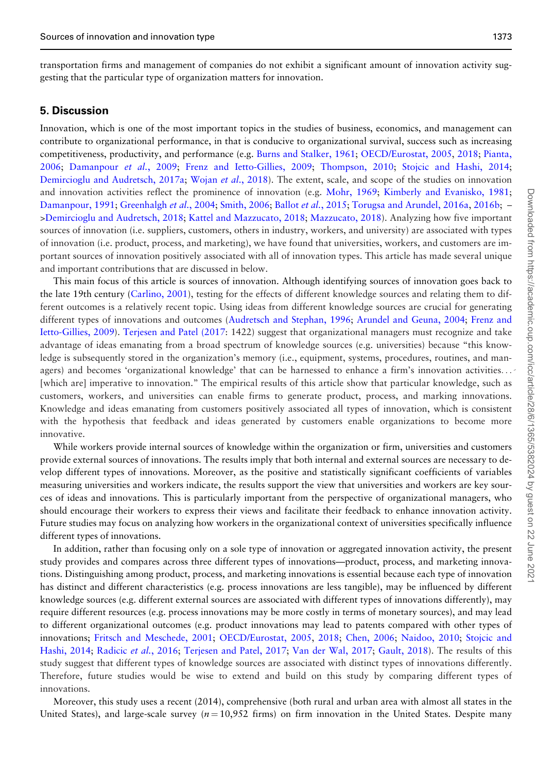transportation firms and management of companies do not exhibit a significant amount of innovation activity suggesting that the particular type of organization matters for innovation.

## 5. Discussion

 [2006;](#page-12-0) [Damanpour](#page-11-0) et al., 2009; [Frenz and Ietto-Gillies, 2009;](#page-11-0) [Thompson, 2010](#page-12-0); [Stojcic and Hashi, 2014;](#page-12-0) Innovation, which is one of the most important topics in the studies of business, economics, and management can contribute to organizational performance, in that is conducive to organizational survival, success such as increasing competitiveness, productivity, and performance (e.g. [Burns and Stalker, 1961;](#page-11-0) [OECD/Eurostat, 2005](#page-12-0), [2018;](#page-12-0) [Pianta,](#page-12-0) [Demircioglu and Audretsch, 2017a;](#page-11-0) [Wojan](#page-12-0) et al., 2018). The extent, scale, and scope of the studies on innovation and innovation activities reflect the prominence of innovation (e.g. [Mohr, 1969](#page-11-0); [Kimberly and Evanisko, 1981;](#page-11-0) [Damanpour, 1991; Greenhalgh](#page-11-0) et al., 2004; [Smith, 2006](#page-12-0); [Ballot](#page-10-0) et al., 2015; [Torugsa and Arundel, 2016a](#page-12-0), [2016b](#page-12-0); – >[Demircioglu and Audretsch, 2018; Kattel and Mazzucato, 2018](#page-11-0); [Mazzucato, 2018](#page-11-0)). Analyzing how five important sources of innovation (i.e. suppliers, customers, others in industry, workers, and university) are associated with types of innovation (i.e. product, process, and marketing), we have found that universities, workers, and customers are important sources of innovation positively associated with all of innovation types. This article has made several unique and important contributions that are discussed in below.

This main focus of this article is sources of innovation. Although identifying sources of innovation goes back to the late 19th century ([Carlino, 2001](#page-11-0)), testing for the effects of different knowledge sources and relating them to different outcomes is a relatively recent topic. Using ideas from different knowledge sources are crucial for generating different types of innovations and outcomes [\(Audretsch and Stephan, 1996;](#page-10-0) [Arundel and Geuna, 2004;](#page-10-0) [Frenz and](#page-11-0) [Ietto-Gillies, 2009](#page-11-0)). [Terjesen and Patel \(2017](#page-12-0): 1422) suggest that organizational managers must recognize and take advantage of ideas emanating from a broad spectrum of knowledge sources (e.g. universities) because "this knowledge is subsequently stored in the organization's memory (i.e., equipment, systems, procedures, routines, and managers) and becomes 'organizational knowledge' that can be harnessed to enhance a firm's innovation activities... [which are] imperative to innovation." The empirical results of this article show that particular knowledge, such as customers, workers, and universities can enable firms to generate product, process, and marking innovations. Knowledge and ideas emanating from customers positively associated all types of innovation, which is consistent with the hypothesis that feedback and ideas generated by customers enable organizations to become more innovative.

While workers provide internal sources of knowledge within the organization or firm, universities and customers provide external sources of innovations. The results imply that both internal and external sources are necessary to develop different types of innovations. Moreover, as the positive and statistically significant coefficients of variables measuring universities and workers indicate, the results support the view that universities and workers are key sources of ideas and innovations. This is particularly important from the perspective of organizational managers, who should encourage their workers to express their views and facilitate their feedback to enhance innovation activity. Future studies may focus on analyzing how workers in the organizational context of universities specifically influence different types of innovations.

 innovations; [Fritsch and Meschede, 2001](#page-11-0); [OECD/Eurostat, 2005](#page-12-0), [2018](#page-12-0); [Chen, 2006](#page-11-0); [Naidoo, 2010;](#page-11-0) [Stojci](#page-12-0)c [and](#page-12-0) In addition, rather than focusing only on a sole type of innovation or aggregated innovation activity, the present study provides and compares across three different types of innovations—product, process, and marketing innovations. Distinguishing among product, process, and marketing innovations is essential because each type of innovation has distinct and different characteristics (e.g. process innovations are less tangible), may be influenced by different knowledge sources (e.g. different external sources are associated with different types of innovations differently), may require different resources (e.g. process innovations may be more costly in terms of monetary sources), and may lead to different organizational outcomes (e.g. product innovations may lead to patents compared with other types of [Hashi, 2014](#page-12-0); [Radicic](#page-12-0) et al., 2016; [Terjesen and Patel, 2017;](#page-12-0) [Van der Wal, 2017](#page-12-0); [Gault, 2018\)](#page-11-0). The results of this study suggest that different types of knowledge sources are associated with distinct types of innovations differently. Therefore, future studies would be wise to extend and build on this study by comparing different types of innovations.

Moreover, this study uses a recent (2014), comprehensive (both rural and urban area with almost all states in the United States), and large-scale survey ( $n = 10,952$  firms) on firm innovation in the United States. Despite many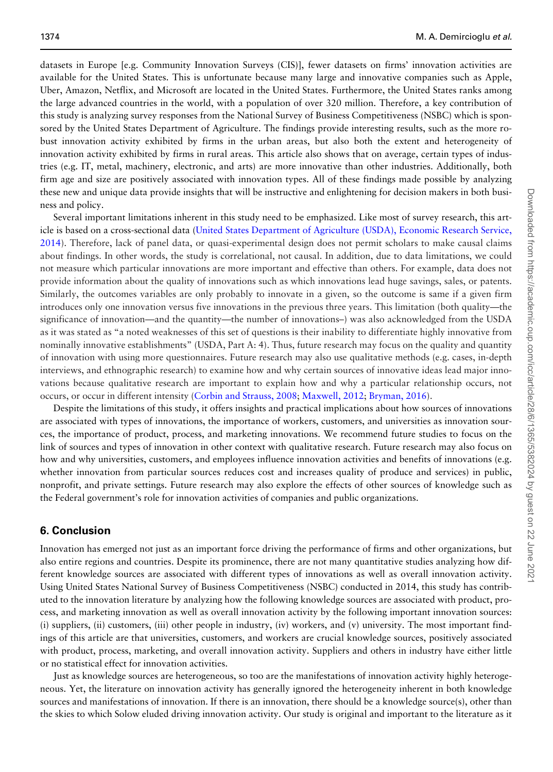datasets in Europe [e.g. Community Innovation Surveys (CIS)], fewer datasets on firms' innovation activities are available for the United States. This is unfortunate because many large and innovative companies such as Apple, Uber, Amazon, Netflix, and Microsoft are located in the United States. Furthermore, the United States ranks among the large advanced countries in the world, with a population of over 320 million. Therefore, a key contribution of this study is analyzing survey responses from the National Survey of Business Competitiveness (NSBC) which is sponsored by the United States Department of Agriculture. The findings provide interesting results, such as the more robust innovation activity exhibited by firms in the urban areas, but also both the extent and heterogeneity of innovation activity exhibited by firms in rural areas. This article also shows that on average, certain types of industries (e.g. IT, metal, machinery, electronic, and arts) are more innovative than other industries. Additionally, both firm age and size are positively associated with innovation types. All of these findings made possible by analyzing these new and unique data provide insights that will be instructive and enlightening for decision makers in both business and policy.

Several important limitations inherent in this study need to be emphasized. Like most of survey research, this article is based on a cross-sectional data ([United States Department of Agriculture \(USDA\), Economic Research Service,](#page-12-0) [2014\)](#page-12-0). Therefore, lack of panel data, or quasi-experimental design does not permit scholars to make causal claims about findings. In other words, the study is correlational, not causal. In addition, due to data limitations, we could not measure which particular innovations are more important and effective than others. For example, data does not provide information about the quality of innovations such as which innovations lead huge savings, sales, or patents. Similarly, the outcomes variables are only probably to innovate in a given, so the outcome is same if a given firm introduces only one innovation versus five innovations in the previous three years. This limitation (both quality—the significance of innovation—and the quantity—the number of innovations–) was also acknowledged from the USDA as it was stated as "a noted weaknesses of this set of questions is their inability to differentiate highly innovative from nominally innovative establishments" (USDA, Part A: 4). Thus, future research may focus on the quality and quantity of innovation with using more questionnaires. Future research may also use qualitative methods (e.g. cases, in-depth interviews, and ethnographic research) to examine how and why certain sources of innovative ideas lead major innovations because qualitative research are important to explain how and why a particular relationship occurs, not occurs, or occur in different intensity [\(Corbin and Strauss, 2008](#page-11-0); [Maxwell, 2012; Bryman, 2016](#page-11-0)).

Despite the limitations of this study, it offers insights and practical implications about how sources of innovations are associated with types of innovations, the importance of workers, customers, and universities as innovation sources, the importance of product, process, and marketing innovations. We recommend future studies to focus on the link of sources and types of innovation in other context with qualitative research. Future research may also focus on how and why universities, customers, and employees influence innovation activities and benefits of innovations (e.g. whether innovation from particular sources reduces cost and increases quality of produce and services) in public, nonprofit, and private settings. Future research may also explore the effects of other sources of knowledge such as the Federal government's role for innovation activities of companies and public organizations.

## 6. Conclusion

Innovation has emerged not just as an important force driving the performance of firms and other organizations, but also entire regions and countries. Despite its prominence, there are not many quantitative studies analyzing how different knowledge sources are associated with different types of innovations as well as overall innovation activity. Using United States National Survey of Business Competitiveness (NSBC) conducted in 2014, this study has contributed to the innovation literature by analyzing how the following knowledge sources are associated with product, process, and marketing innovation as well as overall innovation activity by the following important innovation sources: (i) suppliers, (ii) customers, (iii) other people in industry, (iv) workers, and (v) university. The most important findings of this article are that universities, customers, and workers are crucial knowledge sources, positively associated with product, process, marketing, and overall innovation activity. Suppliers and others in industry have either little or no statistical effect for innovation activities.

Just as knowledge sources are heterogeneous, so too are the manifestations of innovation activity highly heterogeneous. Yet, the literature on innovation activity has generally ignored the heterogeneity inherent in both knowledge sources and manifestations of innovation. If there is an innovation, there should be a knowledge source(s), other than the skies to which Solow eluded driving innovation activity. Our study is original and important to the literature as it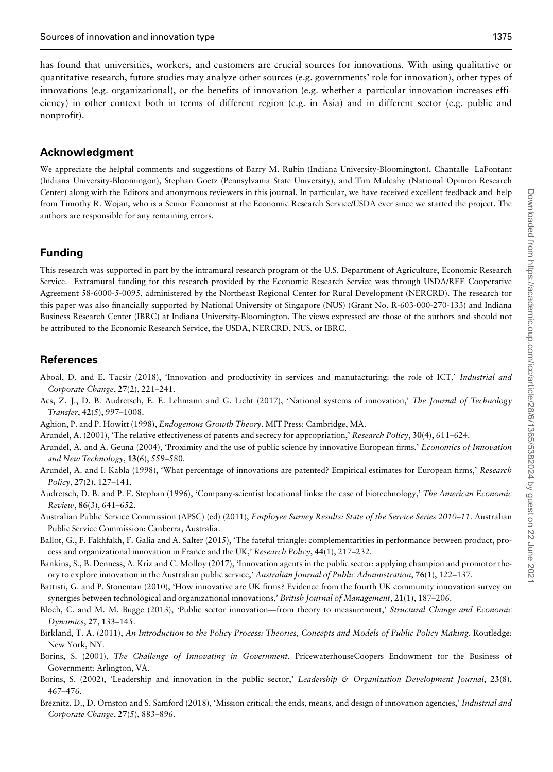<span id="page-10-0"></span>has found that universities, workers, and customers are crucial sources for innovations. With using qualitative or quantitative research, future studies may analyze other sources (e.g. governments' role for innovation), other types of innovations (e.g. organizational), or the benefits of innovation (e.g. whether a particular innovation increases efficiency) in other context both in terms of different region (e.g. in Asia) and in different sector (e.g. public and nonprofit).

### Acknowledgment

We appreciate the helpful comments and suggestions of Barry M. Rubin (Indiana University-Bloomington), Chantalle LaFontant (Indiana University-Bloomingon), Stephan Goetz (Pennsylvania State University), and Tim Mulcahy (National Opinion Research Center) along with the Editors and anonymous reviewers in this journal. In particular, we have received excellent feedback and help from Timothy R. Wojan, who is a Senior Economist at the Economic Research Service/USDA ever since we started the project. The authors are responsible for any remaining errors.

## Funding

This research was supported in part by the intramural research program of the U.S. Department of Agriculture, Economic Research Service. Extramural funding for this research provided by the Economic Research Service was through USDA/REE Cooperative Agreement 58-6000-5-0095, administered by the Northeast Regional Center for Rural Development (NERCRD). The research for this paper was also fnancially supported by National University of Singapore (NUS) (Grant No. R-603-000-270-133) and Indiana Business Research Center (IBRC) at Indiana University-Bloomington. The views expressed are those of the authors and should not be attributed to the Economic Research Service, the USDA, NERCRD, NUS, or IBRC.

## References

- Aboal, D. and E. Tacsir (2018), 'Innovation and productivity in services and manufacturing: the role of ICT,' Industrial and Corporate Change, 27(2), 221–241.
- Acs, Z. J., D. B. Audretsch, E. E. Lehmann and G. Licht (2017), 'National systems of innovation,' The Journal of Technology Transfer, 42(5), 997–1008.
- Aghion, P. and P. Howitt (1998), Endogenous Growth Theory. MIT Press: Cambridge, MA.
- Arundel, A. (2001), 'The relative effectiveness of patents and secrecy for appropriation,' Research Policy, 30(4), 611–624.
- Arundel, A. and A. Geuna (2004), 'Proximity and the use of public science by innovative European frms,' Economics of Innovation and New Technology, 13(6), 559–580.
- Arundel, A. and I. Kabla (1998), 'What percentage of innovations are patented? Empirical estimates for European firms,' Research Policy, 27(2), 127–141.
- Audretsch, D. B. and P. E. Stephan (1996), 'Company-scientist locational links: the case of biotechnology,' The American Economic Review, 86(3), 641–652.
- Australian Public Service Commission (APSC) (ed) (2011), *Employee Survey Results: State of the Service Series* 2010–11. Australian Public Service Commission: Canberra, Australia.
- Ballot, G., F. Fakhfakh, F. Galia and A. Salter (2015), 'The fateful triangle: complementarities in performance between product, process and organizational innovation in France and the UK,' Research Policy, 44(1), 217–232.
- Bankins, S., B. Denness, A. Kriz and C. Molloy (2017), 'Innovation agents in the public sector: applying champion and promotor theory to explore innovation in the Australian public service,' Australian Journal of Public Administration, 76(1), 122–137.
- Battisti, G. and P. Stoneman (2010), 'How innovative are UK frms? Evidence from the fourth UK community innovation survey on synergies between technological and organizational innovations,' British Journal of Management, 21(1), 187-206.
- Bloch, C. and M. M. Bugge (2013), 'Public sector innovation—from theory to measurement,' Structural Change and Economic Dynamics, 27, 133–145.
- Birkland, T. A. (2011), An Introduction to the Policy Process: Theories, Concepts and Models of Public Policy Making. Routledge: New York, NY.
- Borins, S. (2001), The Challenge of Innovating in Government. PricewaterhouseCoopers Endowment for the Business of Government: Arlington, VA.
- Borins, S. (2002), 'Leadership and innovation in the public sector,' Leadership & Organization Development Journal, 23(8), 467–476.
- Breznitz, D., D. Ornston and S. Samford (2018), 'Mission critical: the ends, means, and design of innovation agencies,' Industrial and Corporate Change, 27(5), 883–896.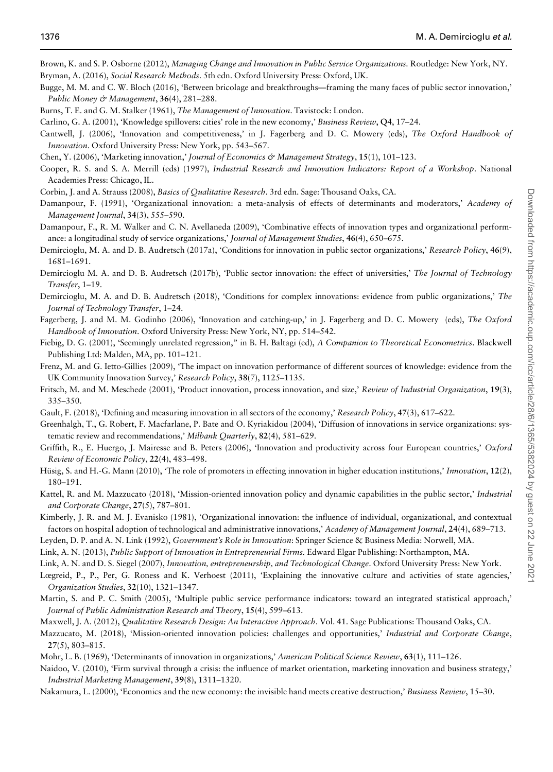- <span id="page-11-0"></span>Brown, K. and S. P. Osborne (2012), Managing Change and Innovation in Public Service Organizations. Routledge: New York, NY. Bryman, A. (2016), Social Research Methods. 5th edn. Oxford University Press: Oxford, UK.
- Bugge, M. M. and C. W. Bloch (2016), 'Between bricolage and breakthroughs—framing the many faces of public sector innovation,' Public Money & Management, 36(4), 281-288.
- Burns, T. E. and G. M. Stalker (1961), The Management of Innovation. Tavistock: London.
- Carlino, G. A. (2001), 'Knowledge spillovers: cities' role in the new economy,' Business Review, Q4, 17–24.
- Cantwell, J. (2006), 'Innovation and competitiveness,' in J. Fagerberg and D. C. Mowery (eds), The Oxford Handbook of Innovation. Oxford University Press: New York, pp. 543–567.
- Chen, Y. (2006), 'Marketing innovation,' Journal of Economics & Management Strategy, 15(1), 101-123.
- Cooper, R. S. and S. A. Merrill (eds) (1997), Industrial Research and Innovation Indicators: Report of a Workshop. National Academies Press: Chicago, IL.
- Corbin, J. and A. Strauss (2008), Basics of Qualitative Research. 3rd edn. Sage: Thousand Oaks, CA.
- Damanpour, F. (1991), 'Organizational innovation: a meta-analysis of effects of determinants and moderators,' Academy of Management Journal, 34(3), 555–590.
- Damanpour, F., R. M. Walker and C. N. Avellaneda (2009), 'Combinative effects of innovation types and organizational performance: a longitudinal study of service organizations,' Journal of Management Studies, 46(4), 650–675.
- Demircioglu, M. A. and D. B. Audretsch (2017a), 'Conditions for innovation in public sector organizations,' Research Policy, 46(9), 1681–1691.
- Demircioglu M. A. and D. B. Audretsch (2017b), 'Public sector innovation: the effect of universities,' The Journal of Technology Transfer, 1–19.
- Demircioglu, M. A. and D. B. Audretsch (2018), 'Conditions for complex innovations: evidence from public organizations,' The Journal of Technology Transfer, 1–24.
- Fagerberg, J. and M. M. Godinho (2006), 'Innovation and catching-up,' in J. Fagerberg and D. C. Mowery (eds), The Oxford Handbook of Innovation. Oxford University Press: New York, NY, pp. 514–542.
- Fiebig, D. G. (2001), 'Seemingly unrelated regression," in B. H. Baltagi (ed), A Companion to Theoretical Econometrics. Blackwell Publishing Ltd: Malden, MA, pp. 101–121.
- Frenz, M. and G. Ietto-Gillies (2009), 'The impact on innovation performance of different sources of knowledge: evidence from the UK Community Innovation Survey,' Research Policy, 38(7), 1125–1135.
- Fritsch, M. and M. Meschede (2001), 'Product innovation, process innovation, and size,' Review of Industrial Organization, 19(3), 335–350.
- Gault, F. (2018), 'Defining and measuring innovation in all sectors of the economy,' Research Policy, 47(3), 617–622.
- Greenhalgh, T., G. Robert, F. Macfarlane, P. Bate and O. Kyriakidou (2004), 'Diffusion of innovations in service organizations: systematic review and recommendations,' Milbank Quarterly, 82(4), 581–629.
- Griffth, R., E. Huergo, J. Mairesse and B. Peters (2006), 'Innovation and productivity across four European countries,' Oxford Review of Economic Policy, 22(4), 483–498.
- Hüsig, S. and H.-G. Mann (2010), 'The role of promoters in effecting innovation in higher education institutions,' Innovation, 12(2), 180–191.
- Kattel, R. and M. Mazzucato (2018), 'Mission-oriented innovation policy and dynamic capabilities in the public sector,' Industrial and Corporate Change, 27(5), 787–801.
- Kimberly, J. R. and M. J. Evanisko (1981), 'Organizational innovation: the infuence of individual, organizational, and contextual factors on hospital adoption of technological and administrative innovations,' Academy of Management Journal, 24(4), 689-713.
- Leyden, D. P. and A. N. Link (1992), Government's Role in Innovation: Springer Science & Business Media: Norwell, MA.
- Link, A. N. (2013), Public Support of Innovation in Entrepreneurial Firms. Edward Elgar Publishing: Northampton, MA.
- Link, A. N. and D. S. Siegel (2007), Innovation, entrepreneurship, and Technological Change. Oxford University Press: New York.
- Lœgreid, P., P., Per, G. Roness and K. Verhoest (2011), 'Explaining the innovative culture and activities of state agencies,' Organization Studies, 32(10), 1321–1347.
- Martin, S. and P. C. Smith (2005), 'Multiple public service performance indicators: toward an integrated statistical approach,' Journal of Public Administration Research and Theory, 15(4), 599–613.
- Maxwell, J. A. (2012), *Qualitative Research Design: An Interactive Approach*. Vol. 41. Sage Publications: Thousand Oaks, CA.
- Mazzucato, M. (2018), 'Mission-oriented innovation policies: challenges and opportunities,' Industrial and Corporate Change, 27(5), 803–815.
- Mohr, L. B. (1969), 'Determinants of innovation in organizations,' American Political Science Review, 63(1), 111–126.
- Naidoo, V. (2010), 'Firm survival through a crisis: the infuence of market orientation, marketing innovation and business strategy,' Industrial Marketing Management, 39(8), 1311–1320.
- Nakamura, L. (2000), 'Economics and the new economy: the invisible hand meets creative destruction,' Business Review, 15–30.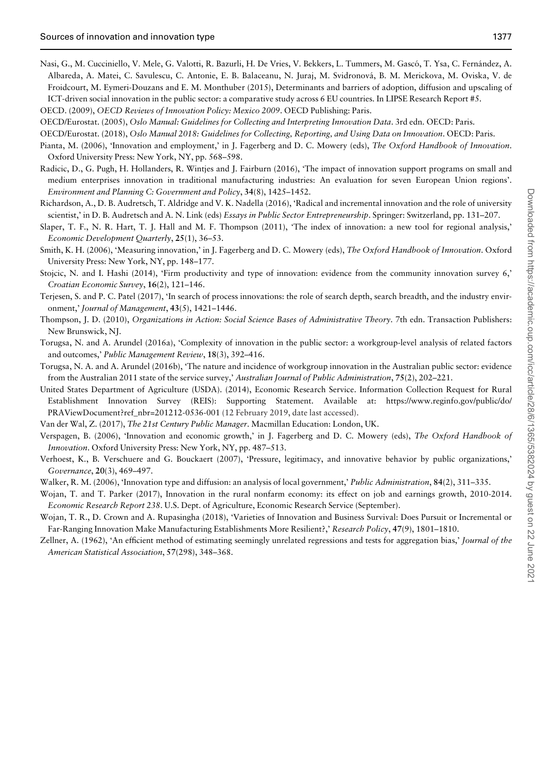<span id="page-12-0"></span>Albareda, A. Matei, C. Savulescu, C. Antonie, E. B. Balaceanu, N. Juraj, M. Svidronová, B. M. Merickova, M. Oviska, V. de Nasi, G., M. Cucciniello, V. Mele, G. Valotti, R. Bazurli, H. De Vries, V. Bekkers, L. Tummers, M. Gascó, T. Ysa, C. Fernández, A. Froidcourt, M. Eymeri-Douzans and E. M. Monthuber (2015), Determinants and barriers of adoption, diffusion and upscaling of ICT-driven social innovation in the public sector: a comparative study across 6 EU countries. In LIPSE Research Report #5.

OECD. (2009), OECD Reviews of Innovation Policy: Mexico 2009. OECD Publishing: Paris.

- OECD/Eurostat. (2005), Oslo Manual: Guidelines for Collecting and Interpreting Innovation Data. 3rd edn. OECD: Paris.
- OECD/Eurostat. (2018), Oslo Manual 2018: Guidelines for Collecting, Reporting, and Using Data on Innovation. OECD: Paris.
- Pianta, M. (2006), 'Innovation and employment,' in J. Fagerberg and D. C. Mowery (eds), The Oxford Handbook of Innovation. Oxford University Press: New York, NY, pp. 568–598.
- Radicic, D., G. Pugh, H. Hollanders, R. Wintjes and J. Fairburn (2016), 'The impact of innovation support programs on small and medium enterprises innovation in traditional manufacturing industries: An evaluation for seven European Union regions'. Environment and Planning C: Government and Policy, 34(8), 1425–1452.
- Richardson, A., D. B. Audretsch, T. Aldridge and V. K. Nadella (2016), 'Radical and incremental innovation and the role of university scientist,' in D. B. Audretsch and A. N. Link (eds) Essays in Public Sector Entrepreneurship. Springer: Switzerland, pp. 131-207.
- Slaper, T. F., N. R. Hart, T. J. Hall and M. F. Thompson (2011), 'The index of innovation: a new tool for regional analysis,' Economic Development Quarterly, 25(1), 36–53.
- Smith, K. H. (2006), 'Measuring innovation,' in J. Fagerberg and D. C. Mowery (eds), The Oxford Handbook of Innovation. Oxford University Press: New York, NY, pp. 148–177.
- Stojcic, N. and I. Hashi (2014), 'Firm productivity and type of innovation: evidence from the community innovation survey 6,' Croatian Economic Survey, 16(2), 121–146.
- Terjesen, S. and P. C. Patel (2017), 'In search of process innovations: the role of search depth, search breadth, and the industry environment,' Journal of Management, 43(5), 1421–1446.
- Thompson, J. D. (2010), Organizations in Action: Social Science Bases of Administrative Theory. 7th edn. Transaction Publishers: New Brunswick, NJ.
- Torugsa, N. and A. Arundel (2016a), 'Complexity of innovation in the public sector: a workgroup-level analysis of related factors and outcomes,' Public Management Review, 18(3), 392–416.
- Torugsa, N. A. and A. Arundel (2016b), 'The nature and incidence of workgroup innovation in the Australian public sector: evidence from the Australian 2011 state of the service survey,' Australian Journal of Public Administration, 75(2), 202–221.
- United States Department of Agriculture (USDA). (2014), Economic Research Service. Information Collection Request for Rural Establishment Innovation Survey (REIS): Supporting Statement. Available at: [https://www.reginfo.gov/public/do/](https://www.reginfo.gov/public/do/PRAViewDocument?ref_nbr=201212-0536-001) [PRAViewDocument?ref\\_nbr=201212-0536-001](https://www.reginfo.gov/public/do/PRAViewDocument?ref_nbr=201212-0536-001) (12 February 2019, date last accessed).
- Van der Wal, Z. (2017), The 21st Century Public Manager. Macmillan Education: London, UK.
- Verspagen, B. (2006), 'Innovation and economic growth,' in J. Fagerberg and D. C. Mowery (eds), The Oxford Handbook of Innovation. Oxford University Press: New York, NY, pp. 487–513.
- Verhoest, K., B. Verschuere and G. Bouckaert (2007), 'Pressure, legitimacy, and innovative behavior by public organizations,' Governance, 20(3), 469–497.
- Walker, R. M. (2006), 'Innovation type and diffusion: an analysis of local government,' Public Administration, 84(2), 311–335.
- Wojan, T. and T. Parker (2017), Innovation in the rural nonfarm economy: its effect on job and earnings growth, 2010-2014. Economic Research Report 238. U.S. Dept. of Agriculture, Economic Research Service (September).
- Wojan, T. R., D. Crown and A. Rupasingha (2018), 'Varieties of Innovation and Business Survival: Does Pursuit or Incremental or Far-Ranging Innovation Make Manufacturing Establishments More Resilient?,' Research Policy, 47(9), 1801–1810.
- Zellner, A. (1962), 'An efficient method of estimating seemingly unrelated regressions and tests for aggregation bias,' Journal of the American Statistical Association, 57(298), 348–368.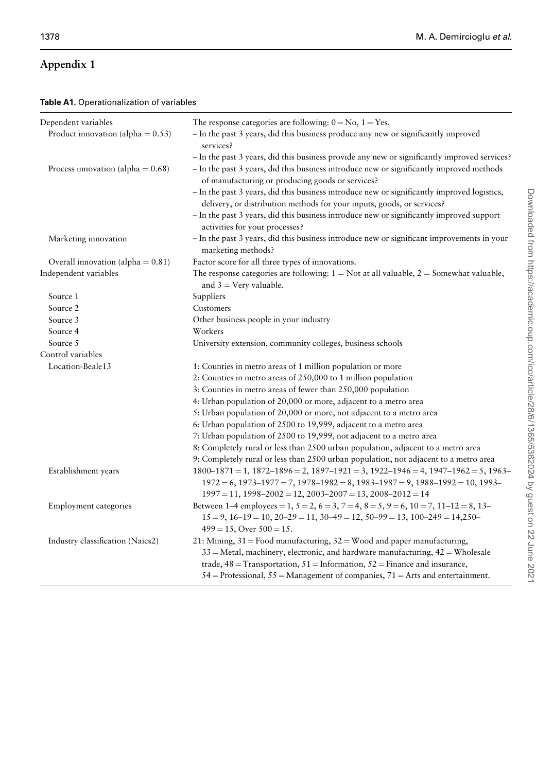## Appendix 1

| Dependent variables                  | The response categories are following: $0 = No$ , $1 = Yes$ .                                                                                                                                                                             |  |  |  |  |  |
|--------------------------------------|-------------------------------------------------------------------------------------------------------------------------------------------------------------------------------------------------------------------------------------------|--|--|--|--|--|
| Product innovation (alpha = $0.53$ ) | - In the past 3 years, did this business produce any new or significantly improved<br>services?                                                                                                                                           |  |  |  |  |  |
|                                      | - In the past 3 years, did this business provide any new or significantly improved services?                                                                                                                                              |  |  |  |  |  |
| Process innovation (alpha = $0.68$ ) | - In the past 3 years, did this business introduce new or significantly improved methods<br>of manufacturing or producing goods or services?                                                                                              |  |  |  |  |  |
|                                      | - In the past 3 years, did this business introduce new or significantly improved logistics,<br>delivery, or distribution methods for your inputs, goods, or services?                                                                     |  |  |  |  |  |
|                                      | - In the past 3 years, did this business introduce new or significantly improved support<br>activities for your processes?                                                                                                                |  |  |  |  |  |
| Marketing innovation                 | - In the past 3 years, did this business introduce new or significant improvements in your<br>marketing methods?                                                                                                                          |  |  |  |  |  |
| Overall innovation (alpha $= 0.81$ ) | Factor score for all three types of innovations.                                                                                                                                                                                          |  |  |  |  |  |
| Independent variables                | The response categories are following: $1 = Not$ at all valuable, $2 = Somewhat$ valuable,<br>and $3 =$ Very valuable.                                                                                                                    |  |  |  |  |  |
| Source 1                             | Suppliers                                                                                                                                                                                                                                 |  |  |  |  |  |
| Source 2                             | Customers                                                                                                                                                                                                                                 |  |  |  |  |  |
| Source 3                             | Other business people in your industry                                                                                                                                                                                                    |  |  |  |  |  |
| Source 4                             | Workers                                                                                                                                                                                                                                   |  |  |  |  |  |
| Source 5                             | University extension, community colleges, business schools                                                                                                                                                                                |  |  |  |  |  |
| Control variables                    |                                                                                                                                                                                                                                           |  |  |  |  |  |
| Location-Beale13                     | 1: Counties in metro areas of 1 million population or more                                                                                                                                                                                |  |  |  |  |  |
|                                      | 2: Counties in metro areas of $250,000$ to 1 million population                                                                                                                                                                           |  |  |  |  |  |
|                                      | 3: Counties in metro areas of fewer than 250,000 population                                                                                                                                                                               |  |  |  |  |  |
|                                      | 4: Urban population of 20,000 or more, adjacent to a metro area                                                                                                                                                                           |  |  |  |  |  |
|                                      | 5: Urban population of 20,000 or more, not adjacent to a metro area                                                                                                                                                                       |  |  |  |  |  |
|                                      | 6: Urban population of 2500 to 19,999, adjacent to a metro area                                                                                                                                                                           |  |  |  |  |  |
|                                      | 7: Urban population of 2500 to 19,999, not adjacent to a metro area                                                                                                                                                                       |  |  |  |  |  |
|                                      | 8: Completely rural or less than 2500 urban population, adjacent to a metro area                                                                                                                                                          |  |  |  |  |  |
|                                      | 9: Completely rural or less than 2500 urban population, not adjacent to a metro area                                                                                                                                                      |  |  |  |  |  |
| Establishment years                  | $1800-1871 = 1$ , $1872-1896 = 2$ , $1897-1921 = 3$ , $1922-1946 = 4$ , $1947-1962 = 5$ , $1963-$<br>$1972 = 6$ , $1973 - 1977 = 7$ , $1978 - 1982 = 8$ , $1983 - 1987 = 9$ , $1988 - 1992 = 10$ , $1993 -$                               |  |  |  |  |  |
|                                      | $1997 = 11$ , $1998 - 2002 = 12$ , $2003 - 2007 = 13$ , $2008 - 2012 = 14$                                                                                                                                                                |  |  |  |  |  |
| Employment categories                | Between 1–4 employees = 1, $5 = 2$ , $6 = 3$ , $7 = 4$ , $8 = 5$ , $9 = 6$ , $10 = 7$ , $11-12=8$ , $13-$<br>$15 = 9$ , $16-19 = 10$ , $20-29 = 11$ , $30-49 = 12$ , $50-99 = 13$ , $100-249 = 14,250-$<br>$499 = 15$ , Over $500 = 15$ . |  |  |  |  |  |
| Industry classification (Naics2)     | 21: Mining, $31 =$ Food manufacturing, $32 =$ Wood and paper manufacturing,                                                                                                                                                               |  |  |  |  |  |
|                                      | $33$ = Metal, machinery, electronic, and hardware manufacturing, $42$ = Wholesale<br>trade, $48 =$ Transportation, $51 =$ Information, $52 =$ Finance and insurance,                                                                      |  |  |  |  |  |
|                                      | $54 =$ Professional, $55 =$ Management of companies, $71 =$ Arts and entertainment.                                                                                                                                                       |  |  |  |  |  |